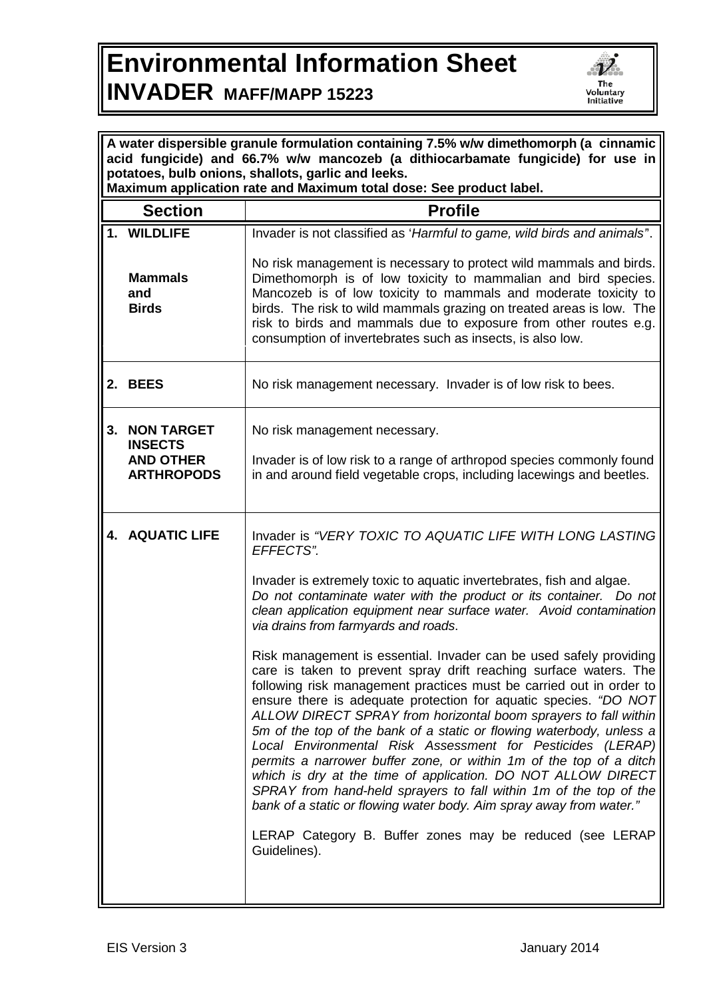## **Environmental Information Sheet INVADER MAFF/MAPP 15223**



| A water dispersible granule formulation containing 7.5% w/w dimethomorph (a cinnamic<br>acid fungicide) and 66.7% w/w mancozeb (a dithiocarbamate fungicide) for use in<br>potatoes, bulb onions, shallots, garlic and leeks.<br>Maximum application rate and Maximum total dose: See product label. |                                                                                                                                                                                                                                                                                                                                                                                                                                                                                                                                                                                                                                                                                                                                                                                                                                                           |  |
|------------------------------------------------------------------------------------------------------------------------------------------------------------------------------------------------------------------------------------------------------------------------------------------------------|-----------------------------------------------------------------------------------------------------------------------------------------------------------------------------------------------------------------------------------------------------------------------------------------------------------------------------------------------------------------------------------------------------------------------------------------------------------------------------------------------------------------------------------------------------------------------------------------------------------------------------------------------------------------------------------------------------------------------------------------------------------------------------------------------------------------------------------------------------------|--|
| <b>Section</b>                                                                                                                                                                                                                                                                                       | <b>Profile</b>                                                                                                                                                                                                                                                                                                                                                                                                                                                                                                                                                                                                                                                                                                                                                                                                                                            |  |
| 1. WILDLIFE                                                                                                                                                                                                                                                                                          | Invader is not classified as 'Harmful to game, wild birds and animals'.                                                                                                                                                                                                                                                                                                                                                                                                                                                                                                                                                                                                                                                                                                                                                                                   |  |
| <b>Mammals</b><br>and<br><b>Birds</b>                                                                                                                                                                                                                                                                | No risk management is necessary to protect wild mammals and birds.<br>Dimethomorph is of low toxicity to mammalian and bird species.<br>Mancozeb is of low toxicity to mammals and moderate toxicity to<br>birds. The risk to wild mammals grazing on treated areas is low. The<br>risk to birds and mammals due to exposure from other routes e.g.<br>consumption of invertebrates such as insects, is also low.                                                                                                                                                                                                                                                                                                                                                                                                                                         |  |
| 2. BEES                                                                                                                                                                                                                                                                                              | No risk management necessary. Invader is of low risk to bees.                                                                                                                                                                                                                                                                                                                                                                                                                                                                                                                                                                                                                                                                                                                                                                                             |  |
| <b>NON TARGET</b><br><b>INSECTS</b>                                                                                                                                                                                                                                                                  | No risk management necessary.                                                                                                                                                                                                                                                                                                                                                                                                                                                                                                                                                                                                                                                                                                                                                                                                                             |  |
| <b>AND OTHER</b><br><b>ARTHROPODS</b>                                                                                                                                                                                                                                                                | Invader is of low risk to a range of arthropod species commonly found<br>in and around field vegetable crops, including lacewings and beetles.                                                                                                                                                                                                                                                                                                                                                                                                                                                                                                                                                                                                                                                                                                            |  |
| <b>4. AQUATIC LIFE</b>                                                                                                                                                                                                                                                                               | Invader is "VERY TOXIC TO AQUATIC LIFE WITH LONG LASTING<br>EFFECTS".                                                                                                                                                                                                                                                                                                                                                                                                                                                                                                                                                                                                                                                                                                                                                                                     |  |
|                                                                                                                                                                                                                                                                                                      | Invader is extremely toxic to aquatic invertebrates, fish and algae.<br>Do not contaminate water with the product or its container. Do not<br>clean application equipment near surface water. Avoid contamination<br>via drains from farmyards and roads.                                                                                                                                                                                                                                                                                                                                                                                                                                                                                                                                                                                                 |  |
|                                                                                                                                                                                                                                                                                                      | Risk management is essential. Invader can be used safely providing<br>care is taken to prevent spray drift reaching surface waters. The<br>following risk management practices must be carried out in order to<br>ensure there is adequate protection for aquatic species. "DO NOT<br>ALLOW DIRECT SPRAY from horizontal boom sprayers to fall within<br>5m of the top of the bank of a static or flowing waterbody, unless a<br>Local Environmental Risk Assessment for Pesticides (LERAP)<br>permits a narrower buffer zone, or within 1m of the top of a ditch<br>which is dry at the time of application. DO NOT ALLOW DIRECT<br>SPRAY from hand-held sprayers to fall within 1m of the top of the<br>bank of a static or flowing water body. Aim spray away from water."<br>LERAP Category B. Buffer zones may be reduced (see LERAP<br>Guidelines). |  |
|                                                                                                                                                                                                                                                                                                      |                                                                                                                                                                                                                                                                                                                                                                                                                                                                                                                                                                                                                                                                                                                                                                                                                                                           |  |